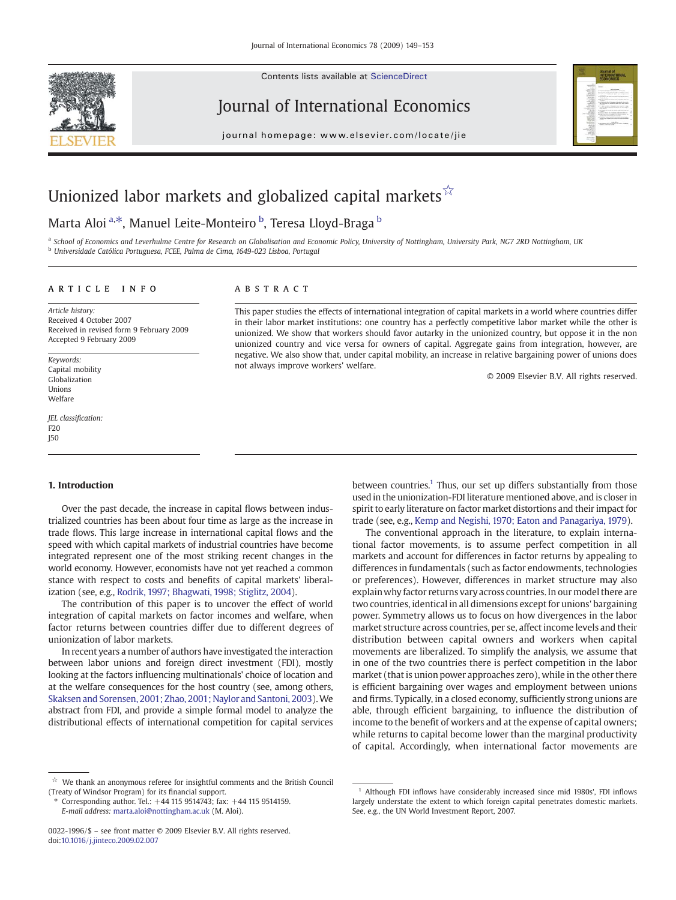

Contents lists available at ScienceDirect

## Journal of International Economics



journal homepage: www.elsevier.com/locate/jie

# Unionized labor markets and globalized capital markets $\vec{x}$

## Marta Aloi <sup>a,\*</sup>, Manuel Leite-Monteiro <sup>b</sup>, Teresa Lloyd-Braga <sup>b</sup>

<sup>a</sup> School of Economics and Leverhulme Centre for Research on Globalisation and Economic Policy, University of Nottingham, University Park, NG7 2RD Nottingham, UK <sup>b</sup> Universidade Católica Portuguesa, FCEE, Palma de Cima, 1649-023 Lisboa, Portugal

### article info abstract

Article history: Received 4 October 2007 Received in revised form 9 February 2009 Accepted 9 February 2009

Keywords: Capital mobility Globalization Unions Welfare

JEL classification: F20 J50

This paper studies the effects of international integration of capital markets in a world where countries differ in their labor market institutions: one country has a perfectly competitive labor market while the other is unionized. We show that workers should favor autarky in the unionized country, but oppose it in the non unionized country and vice versa for owners of capital. Aggregate gains from integration, however, are negative. We also show that, under capital mobility, an increase in relative bargaining power of unions does not always improve workers' welfare.

© 2009 Elsevier B.V. All rights reserved.

### 1. Introduction

Over the past decade, the increase in capital flows between industrialized countries has been about four time as large as the increase in trade flows. This large increase in international capital flows and the speed with which capital markets of industrial countries have become integrated represent one of the most striking recent changes in the world economy. However, economists have not yet reached a common stance with respect to costs and benefits of capital markets' liberalization (see, e.g., [Rodrik, 1997; Bhagwati, 1998; Stiglitz, 2004\)](#page--1-0).

The contribution of this paper is to uncover the effect of world integration of capital markets on factor incomes and welfare, when factor returns between countries differ due to different degrees of unionization of labor markets.

In recent years a number of authors have investigated the interaction between labor unions and foreign direct investment (FDI), mostly looking at the factors influencing multinationals' choice of location and at the welfare consequences for the host country (see, among others, [Skaksen and Sorensen, 2001; Zhao, 2001; Naylor and Santoni, 2003](#page--1-0)).We abstract from FDI, and provide a simple formal model to analyze the distributional effects of international competition for capital services between countries.<sup>1</sup> Thus, our set up differs substantially from those used in the unionization-FDI literature mentioned above, and is closer in spirit to early literature on factor market distortions and their impact for trade (see, e.g., [Kemp and Negishi, 1970; Eaton and Panagariya, 1979](#page--1-0)).

The conventional approach in the literature, to explain international factor movements, is to assume perfect competition in all markets and account for differences in factor returns by appealing to differences in fundamentals (such as factor endowments, technologies or preferences). However, differences in market structure may also explainwhy factor returns vary across countries. In our model there are two countries, identical in all dimensions except for unions' bargaining power. Symmetry allows us to focus on how divergences in the labor market structure across countries, per se, affect income levels and their distribution between capital owners and workers when capital movements are liberalized. To simplify the analysis, we assume that in one of the two countries there is perfect competition in the labor market (that is union power approaches zero), while in the other there is efficient bargaining over wages and employment between unions and firms. Typically, in a closed economy, sufficiently strong unions are able, through efficient bargaining, to influence the distribution of income to the benefit of workers and at the expense of capital owners; while returns to capital become lower than the marginal productivity of capital. Accordingly, when international factor movements are

 $\overleftrightarrow{\mathbf{r}}$  We thank an anonymous referee for insightful comments and the British Council (Treaty of Windsor Program) for its financial support.

<sup>⁎</sup> Corresponding author. Tel.: +44 115 9514743; fax: +44 115 9514159. E-mail address: [marta.aloi@nottingham.ac.uk](mailto:marta.aloi@nottingham.ac.uk) (M. Aloi).

<sup>0022-1996/\$</sup> – see front matter © 2009 Elsevier B.V. All rights reserved. doi:[10.1016/j.jinteco.2009.02.007](http://dx.doi.org/10.1016/j.jinteco.2009.02.007)

<sup>1</sup> Although FDI inflows have considerably increased since mid 1980s', FDI inflows largely understate the extent to which foreign capital penetrates domestic markets. See, e.g., the UN World Investment Report, 2007.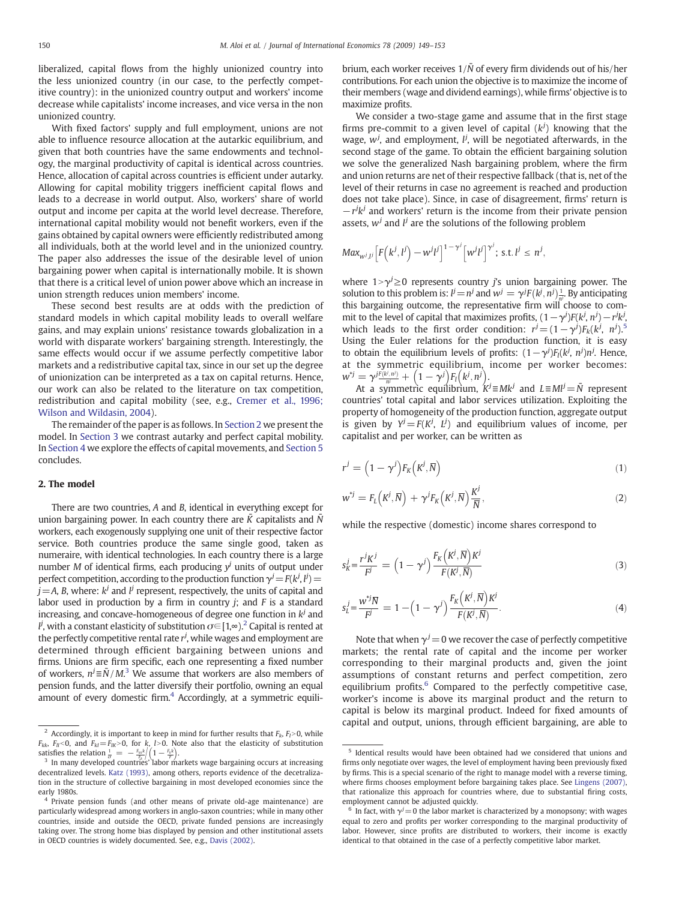liberalized, capital flows from the highly unionized country into the less unionized country (in our case, to the perfectly competitive country): in the unionized country output and workers' income decrease while capitalists' income increases, and vice versa in the non unionized country.

With fixed factors' supply and full employment, unions are not able to influence resource allocation at the autarkic equilibrium, and given that both countries have the same endowments and technology, the marginal productivity of capital is identical across countries. Hence, allocation of capital across countries is efficient under autarky. Allowing for capital mobility triggers inefficient capital flows and leads to a decrease in world output. Also, workers' share of world output and income per capita at the world level decrease. Therefore, international capital mobility would not benefit workers, even if the gains obtained by capital owners were efficiently redistributed among all individuals, both at the world level and in the unionized country. The paper also addresses the issue of the desirable level of union bargaining power when capital is internationally mobile. It is shown that there is a critical level of union power above which an increase in union strength reduces union members' income.

These second best results are at odds with the prediction of standard models in which capital mobility leads to overall welfare gains, and may explain unions' resistance towards globalization in a world with disparate workers' bargaining strength. Interestingly, the same effects would occur if we assume perfectly competitive labor markets and a redistributive capital tax, since in our set up the degree of unionization can be interpreted as a tax on capital returns. Hence, our work can also be related to the literature on tax competition, redistribution and capital mobility (see, e.g., [Cremer et al., 1996;](#page--1-0) [Wilson and Wildasin, 2004\)](#page--1-0).

The remainder of the paper is as follows. In Section 2 we present the model. In Section 3 we contrast autarky and perfect capital mobility. In Section 4 we explore the effects of capital movements, and Section 5 concludes.

## 2. The model

There are two countries, A and B, identical in everything except for union bargaining power. In each country there are  $\bar{K}$  capitalists and  $\bar{N}$ workers, each exogenously supplying one unit of their respective factor service. Both countries produce the same single good, taken as numeraire, with identical technologies. In each country there is a large number M of identical firms, each producing  $y^j$  units of output under perfect competition, according to the production function  $\gamma^{j} = F(k^{j}, l^{j}) =$  $j$  = A, B, where:  $k^j$  and  $l^j$  represent, respectively, the units of capital and labor used in production by a firm in country  $j$ ; and  $F$  is a standard increasing, and concave-homogeneous of degree one function in  $k^j$  and  ${}^{l\!l}$ , with a constant elasticity of substitution  $\sigma$ ∈[1,∞). ${}^{2}$  Capital is rented at the perfectly competitive rental rate  $r^j$ , while wages and employment are determined through efficient bargaining between unions and firms. Unions are firm specific, each one representing a fixed number of workers,  $n^j \equiv \bar{N}/M$ .<sup>3</sup> We assume that workers are also members of pension funds, and the latter diversify their portfolio, owning an equal amount of every domestic firm. $4$  Accordingly, at a symmetric equilibrium, each worker receives  $1/\bar{N}$  of every firm dividends out of his/her contributions. For each union the objective is to maximize the income of their members (wage and dividend earnings), while firms' objective is to maximize profits.

We consider a two-stage game and assume that in the first stage firms pre-commit to a given level of capital  $(k^{j})$  knowing that the wage,  $w^{j}$ , and employment,  $l^{j}$ , will be negotiated afterwards, in the second stage of the game. To obtain the efficient bargaining solution we solve the generalized Nash bargaining problem, where the firm and union returns are net of their respective fallback (that is, net of the level of their returns in case no agreement is reached and production does not take place). Since, in case of disagreement, firms' return is  $-r^{j}k^{j}$  and workers' return is the income from their private pension assets,  $w^{j}$  and  $l^{j}$  are the solutions of the following problem

$$
Max_{w^j,l^j}\left[F\left(k^j,l^j\right)-w^jl^j\right]^{1-\gamma^j}\left[w^jl^j\right]^{\gamma^j};\text{ s.t. } l^j \leq n^j,
$$

where  $1>\gamma^j\geq 0$  represents country j's union bargaining power. The solution to this problem is:  $l^j = n^j$  and  $w^j = \gamma^j F(k^j, n^j) \frac{1}{n^j}$ . By anticipating this bargaining outcome, the representative firm will choose to commit to the level of capital that maximizes profits,  $(1 - \gamma^j) F(k^j, n^j) - r^j k^j$ which leads to the first order condition:  $r^j = (1 - \gamma^j) F_k (k^j, n^j)$ .<sup>5</sup> Using the Euler relations for the production function, it is easy to obtain the equilibrium levels of profits:  $(1 - \gamma^j) F_i(k^j, n^j) n^j$ . Hence, at the symmetric equilibrium, income per worker becomes:  $w^{*j} = \gamma^{j}\frac{F(k^j, n^j)}{n^j} + \left(1 - \gamma^j\right)F_l\left(k^j, n^j\right).$ 

At a symmetric equilibrium,  $K^{j} \equiv Mk^{j}$  and  $L \equiv Ml^{j} = \overline{N}$  represent countries' total capital and labor services utilization. Exploiting the property of homogeneity of the production function, aggregate output is given by  $Y^j = F(K^j, L^j)$  and equilibrium values of income, per capitalist and per worker, can be written as

$$
r^{j} = (1 - \gamma^{j}) F_{K} (K^{j}, \overline{N})
$$
\n(1)

$$
w^{*j} = F_L\left(K^j, \overline{N}\right) + \gamma^j F_K\left(K^j, \overline{N}\right) \frac{K^j}{\overline{N}},\tag{2}
$$

while the respective (domestic) income shares correspond to

$$
s_K^j = \frac{r^j K^j}{F^j} = \left(1 - \gamma^j\right) \frac{F_K\left(K^j, \overline{N}\right) K^j}{F(K^j, \overline{N})} \tag{3}
$$

$$
s_L^j = \frac{w^{*j}\overline{N}}{F^j} = 1 - \left(1 - \gamma^j\right) \frac{F_K\left(K^j, \overline{N}\right)K^j}{F(K^j, \overline{N})}.
$$
\n<sup>(4)</sup>

Note that when  $\gamma^{j}$  = 0 we recover the case of perfectly competitive markets; the rental rate of capital and the income per worker corresponding to their marginal products and, given the joint assumptions of constant returns and perfect competition, zero equilibrium profits. $6$  Compared to the perfectly competitive case, worker's income is above its marginal product and the return to capital is below its marginal product. Indeed for fixed amounts of capital and output, unions, through efficient bargaining, are able to

<sup>&</sup>lt;sup>2</sup> Accordingly, it is important to keep in mind for further results that  $F_k$ ,  $F_l$  > 0, while  $F_{kk}$ ,  $F_{ll}$  < 0, and  $F_{kl}=F_{lk}$  > 0, for k, l > 0. Note also that the elasticity of substitution satisfies the relation  $\frac{1}{\sigma} = -\frac{F_{kk}k}{F_k} \left( 1 - \frac{F_k k}{F} \right)$ .

<sup>&</sup>lt;sup>3</sup> In many developed countries' labor markets wage bargaining occurs at increasing decentralized levels. [Katz \(1993\),](#page--1-0) among others, reports evidence of the decetralization in the structure of collective bargaining in most developed economies since the early 1980s.

<sup>4</sup> Private pension funds (and other means of private old-age maintenance) are particularly widespread among workers in anglo-saxon countries; while in many other countries, inside and outside the OECD, private funded pensions are increasingly taking over. The strong home bias displayed by pension and other institutional assets in OECD countries is widely documented. See, e.g., [Davis \(2002\)](#page--1-0).

<sup>5</sup> Identical results would have been obtained had we considered that unions and firms only negotiate over wages, the level of employment having been previously fixed by firms. This is a special scenario of the right to manage model with a reverse timing, where firms chooses employment before bargaining takes place. See [Lingens \(2007\)](#page--1-0), that rationalize this approach for countries where, due to substantial firing costs, employment cannot be adjusted quickly.

<sup>&</sup>lt;sup>6</sup> In fact, with  $\gamma^{j}$  = 0 the labor market is characterized by a monopsony; with wages equal to zero and profits per worker corresponding to the marginal productivity of labor. However, since profits are distributed to workers, their income is exactly identical to that obtained in the case of a perfectly competitive labor market.